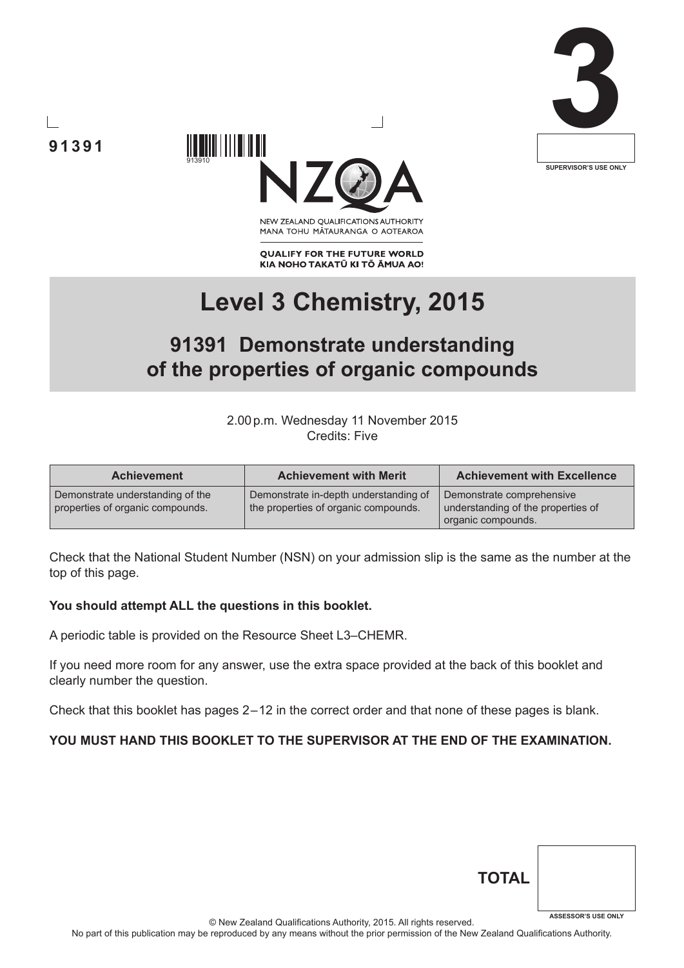





NEW ZEALAND OUALIFICATIONS AUTHORITY MANA TOHU MĀTAURANGA O AOTEAROA

**QUALIFY FOR THE FUTURE WORLD** KIA NOHO TAKATŪ KI TŌ ĀMUA AO!

# **Level 3 Chemistry, 2015**

# **91391 Demonstrate understanding of the properties of organic compounds**

2.00p.m. Wednesday 11 November 2015 Credits: Five

| <b>Achievement</b>                                                   | <b>Achievement with Merit</b>                                                 | <b>Achievement with Excellence</b>                                                    |
|----------------------------------------------------------------------|-------------------------------------------------------------------------------|---------------------------------------------------------------------------------------|
| Demonstrate understanding of the<br>properties of organic compounds. | Demonstrate in-depth understanding of<br>the properties of organic compounds. | Demonstrate comprehensive<br>understanding of the properties of<br>organic compounds. |

Check that the National Student Number (NSN) on your admission slip is the same as the number at the top of this page.

#### **You should attempt ALL the questions in this booklet.**

A periodic table is provided on the Resource Sheet L3–CHEMR.

If you need more room for any answer, use the extra space provided at the back of this booklet and clearly number the question.

Check that this booklet has pages 2 – 12 in the correct order and that none of these pages is blank.

#### **YOU MUST HAND THIS BOOKLET TO THE SUPERVISOR AT THE END OF THE EXAMINATION.**

| <b>TOTAL</b> |                            |
|--------------|----------------------------|
|              | <b>ASSESSOR'S USE ONLY</b> |

© New Zealand Qualifications Authority, 2015. All rights reserved.

No part of this publication may be reproduced by any means without the prior permission of the New Zealand Qualifications Authority.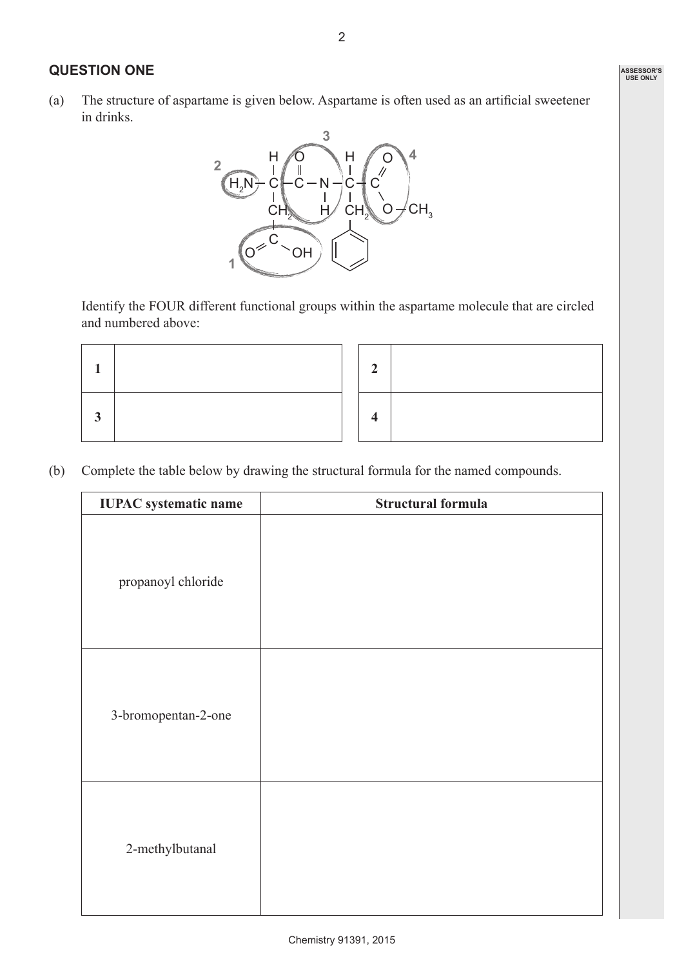#### **QUESTION ONE**

(a) The structure of aspartame is given below. Aspartame is often used as an artificial sweetener in drinks.



Identify the FOUR different functional groups within the aspartame molecule that are circled and numbered above:

(b) Complete the table below by drawing the structural formula for the named compounds.

| <b>IUPAC</b> systematic name | <b>Structural formula</b> |
|------------------------------|---------------------------|
| propanoyl chloride           |                           |
| 3-bromopentan-2-one          |                           |
| 2-methylbutanal              |                           |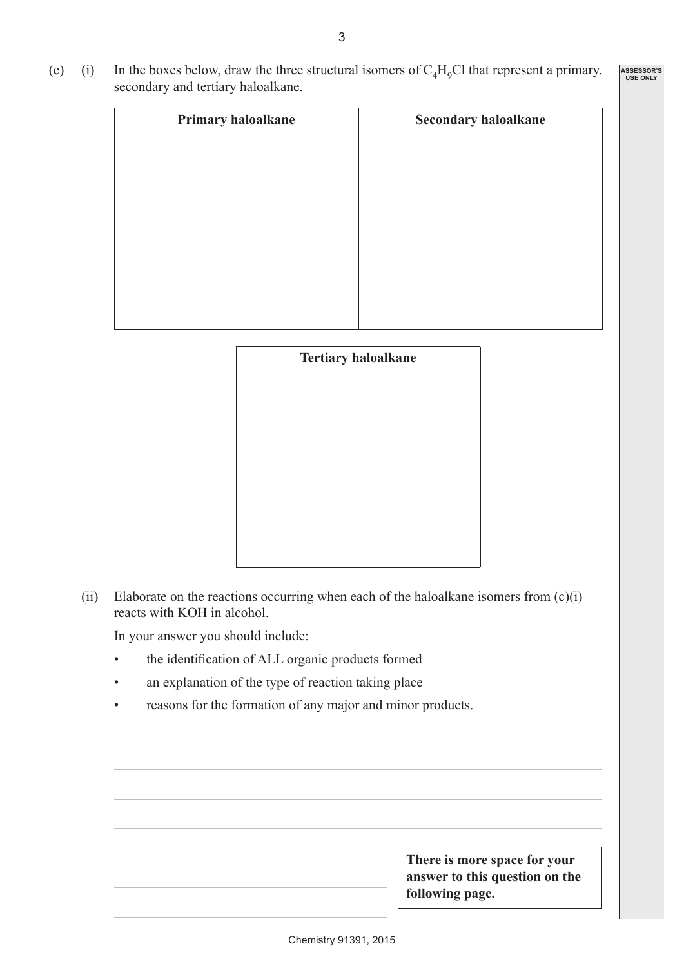(c) (i) In the boxes below, draw the three structural isomers of  $C_4H_9Cl$  that represent a primary, secondary and tertiary haloalkane. **ASSESSOR'S USE ONLY**

| Primary haloalkane | <b>Secondary haloalkane</b> |
|--------------------|-----------------------------|
|                    |                             |
|                    |                             |
|                    |                             |
|                    |                             |
|                    |                             |
|                    |                             |
|                    |                             |
|                    |                             |
|                    |                             |

| <b>Tertiary haloalkane</b> |  |  |  |  |
|----------------------------|--|--|--|--|
|                            |  |  |  |  |
|                            |  |  |  |  |
|                            |  |  |  |  |
|                            |  |  |  |  |
|                            |  |  |  |  |
|                            |  |  |  |  |
|                            |  |  |  |  |

(ii) Elaborate on the reactions occurring when each of the haloalkane isomers from  $(c)(i)$ reacts with KOH in alcohol.

In your answer you should include:

- • the identification of ALL organic products formed
- an explanation of the type of reaction taking place
- reasons for the formation of any major and minor products.

| There is more space for your<br>answer to this question on the<br>following page. |
|-----------------------------------------------------------------------------------|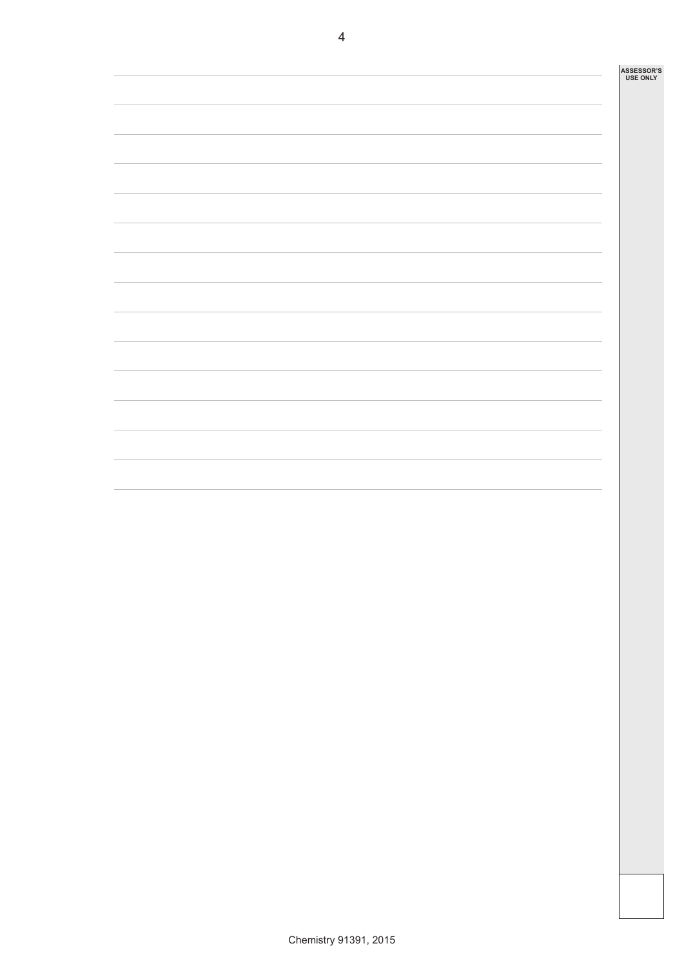| <b>ASSESSOR'S</b> |
|-------------------|
| <b>USE ONLY</b>   |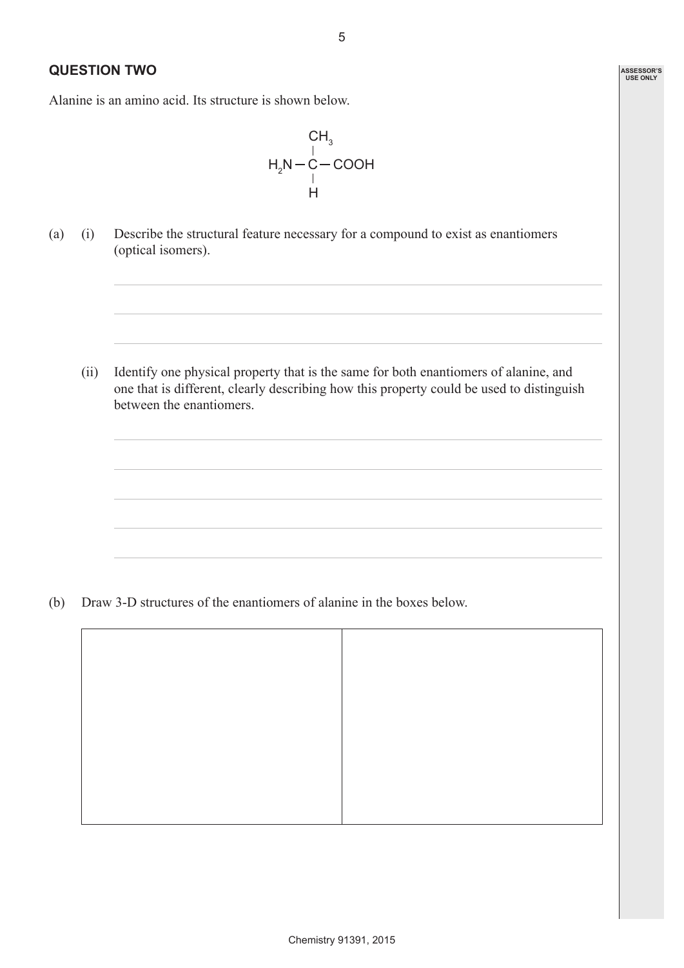## **QUESTION TWO**

Alanine is an amino acid. Its structure is shown below.



(a) (i) Describe the structural feature necessary for a compound to exist as enantiomers (optical isomers).

(ii) Identify one physical property that is the same for both enantiomers of alanine, and one that is different, clearly describing how this property could be used to distinguish between the enantiomers.

(b) Draw 3-D structures of the enantiomers of alanine in the boxes below.

**ASSESSOR'S USE ONLY**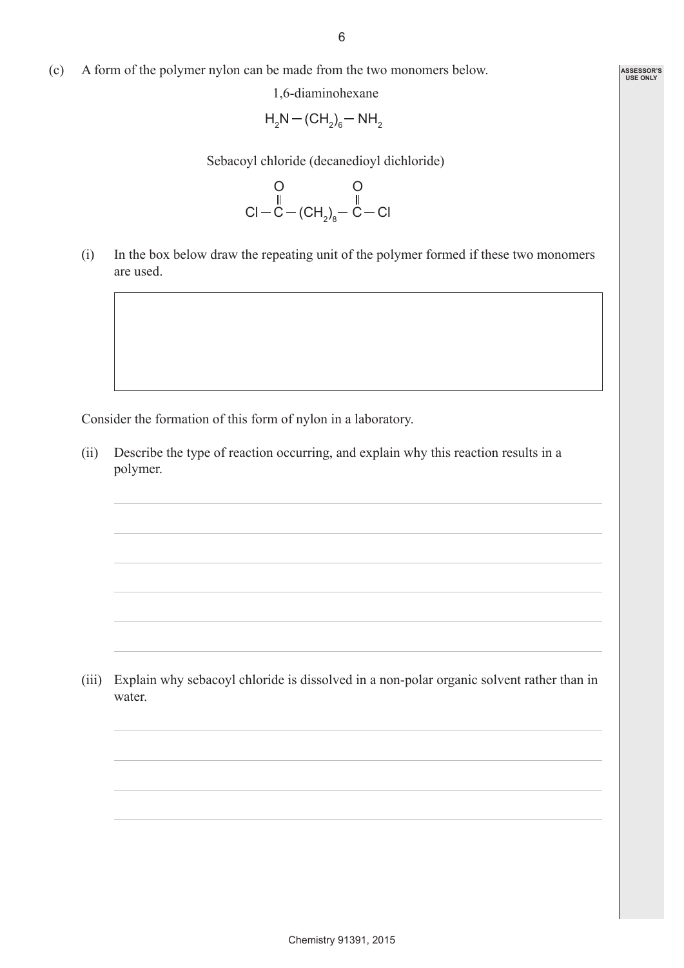(c) A form of the polymer nylon can be made from the two monomers below.

1,6-diaminohexane

$$
H_2N - (CH_2)_6 - NH_2
$$

Sebacoyl chloride (decanedioyl dichloride)

$$
\begin{array}{c}\nO & O \\
\parallel & \parallel \\
Cl - C - (CH_2)_8 - C - Cl\n\end{array}
$$

(i) In the box below draw the repeating unit of the polymer formed if these two monomers are used.

Consider the formation of this form of nylon in a laboratory.

(ii) Describe the type of reaction occurring, and explain why this reaction results in a polymer.

(iii) Explain why sebacoyl chloride is dissolved in a non-polar organic solvent rather than in water.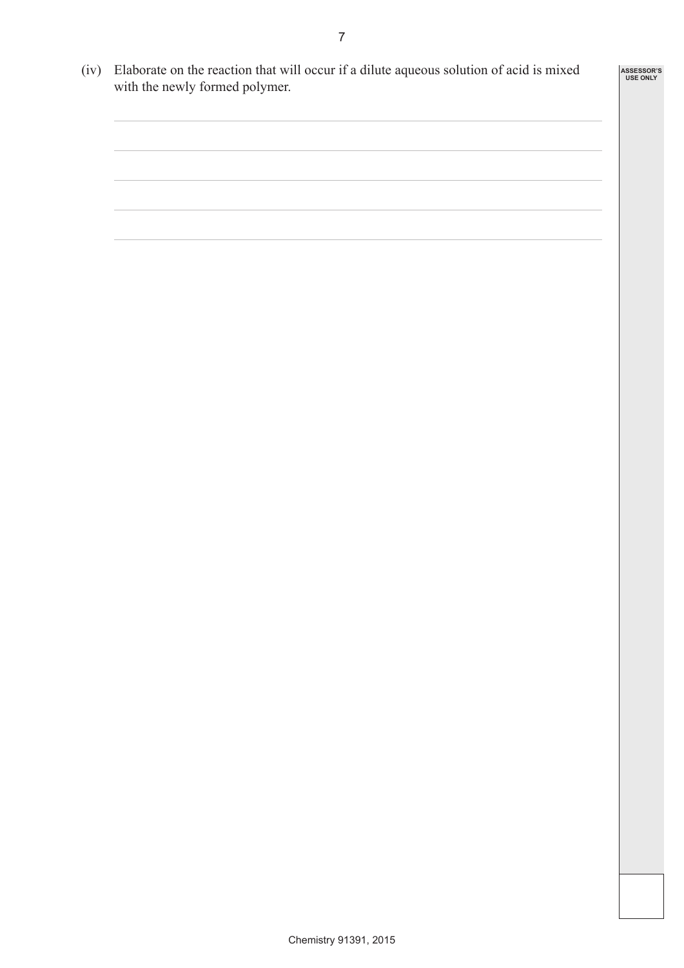(iv) Elaborate on the reaction that will occur if a dilute aqueous solution of acid is mixed with the newly formed polymer.

**ASSESSOR'S USE ONLY**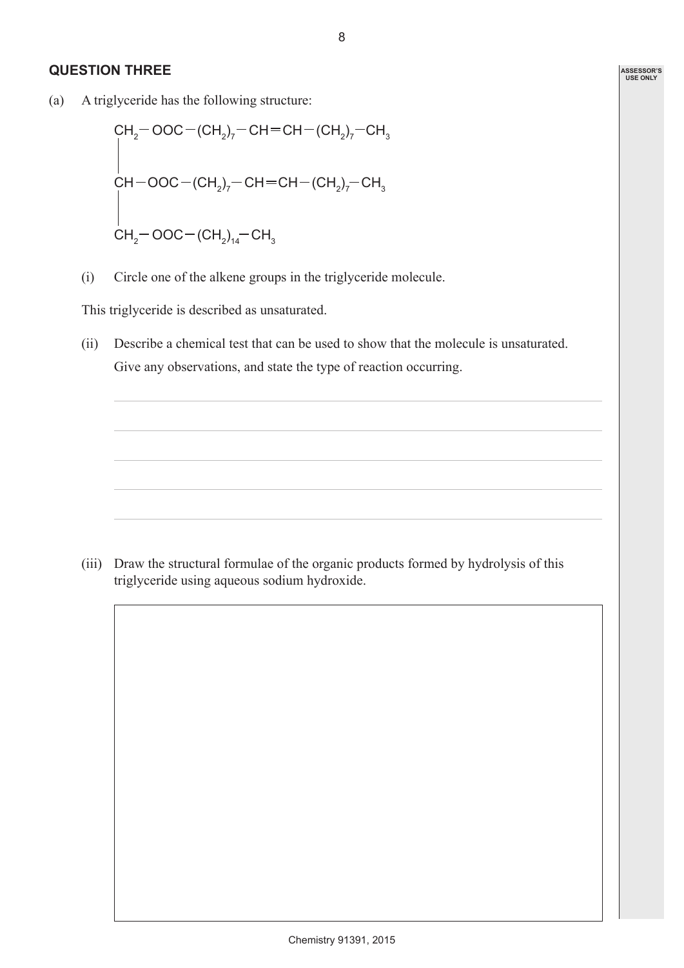### **QUESTION THREE**

(a) A triglyceride has the following structure:

CH2 OOC (CH2 )7 CH CH (CH2 )7 CH3 CH2 OOC (CH2 )14 CH3 CH OOC (CH2 ) <sup>7</sup>CH CH (CH2 ) 7 CH3

(i) Circle one of the alkene groups in the triglyceride molecule.

This triglyceride is described as unsaturated.

(ii) Describe a chemical test that can be used to show that the molecule is unsaturated. Give any observations, and state the type of reaction occurring.

(iii) Draw the structural formulae of the organic products formed by hydrolysis of this triglyceride using aqueous sodium hydroxide.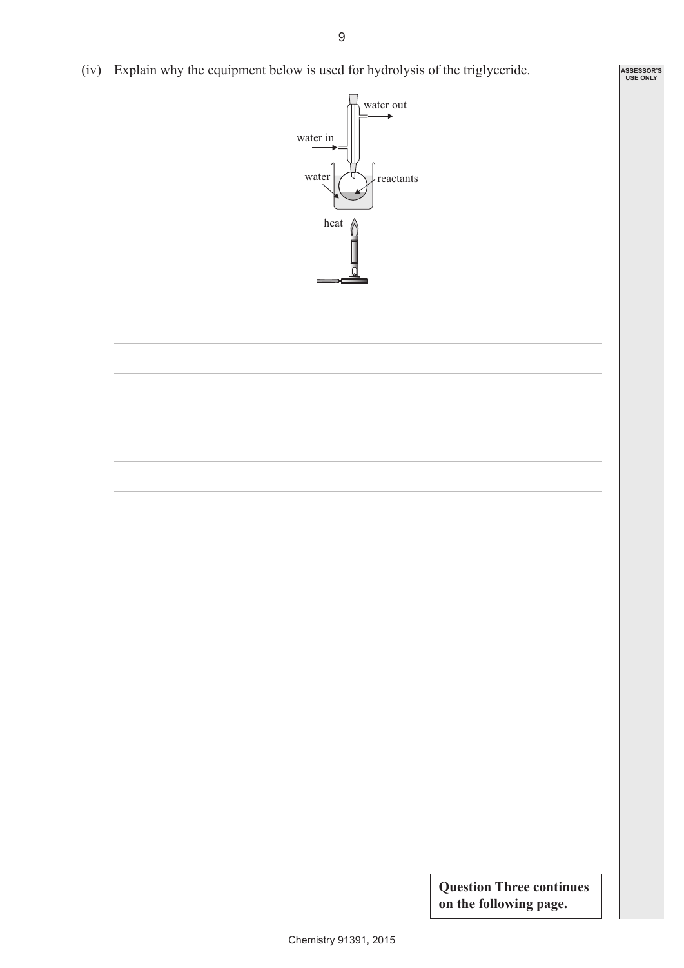(iv) Explain why the equipment below is used for hydrolysis of the triglyceride.



**Question Three continues on the following page.**

**ASSESSOR'S USE ONLY**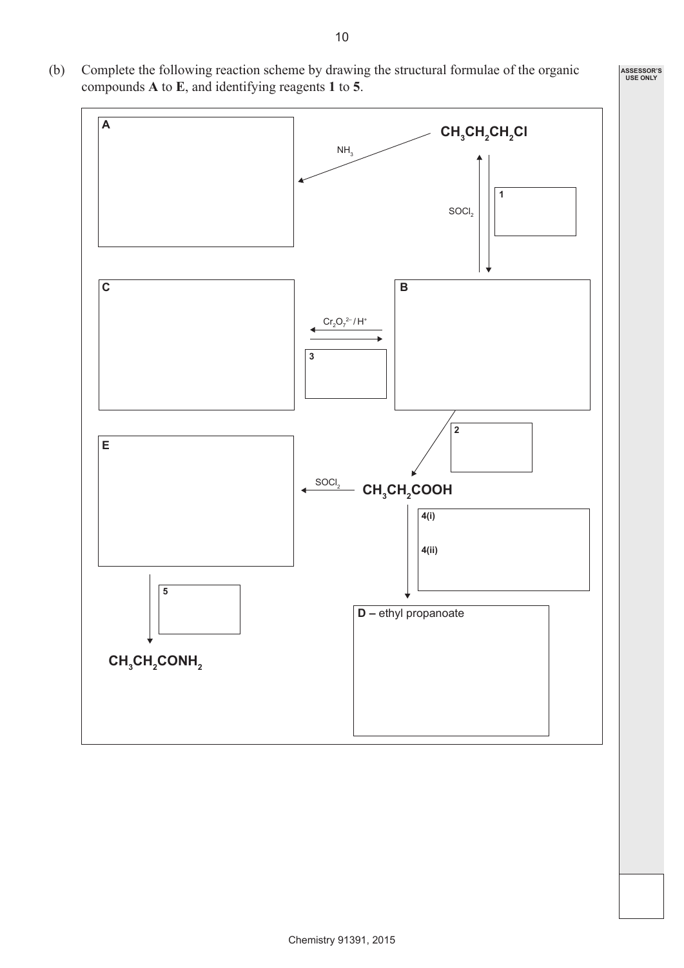(b) Complete the following reaction scheme by drawing the structural formulae of the organic compounds **A** to **E**, and identifying reagents **1** to **5**.



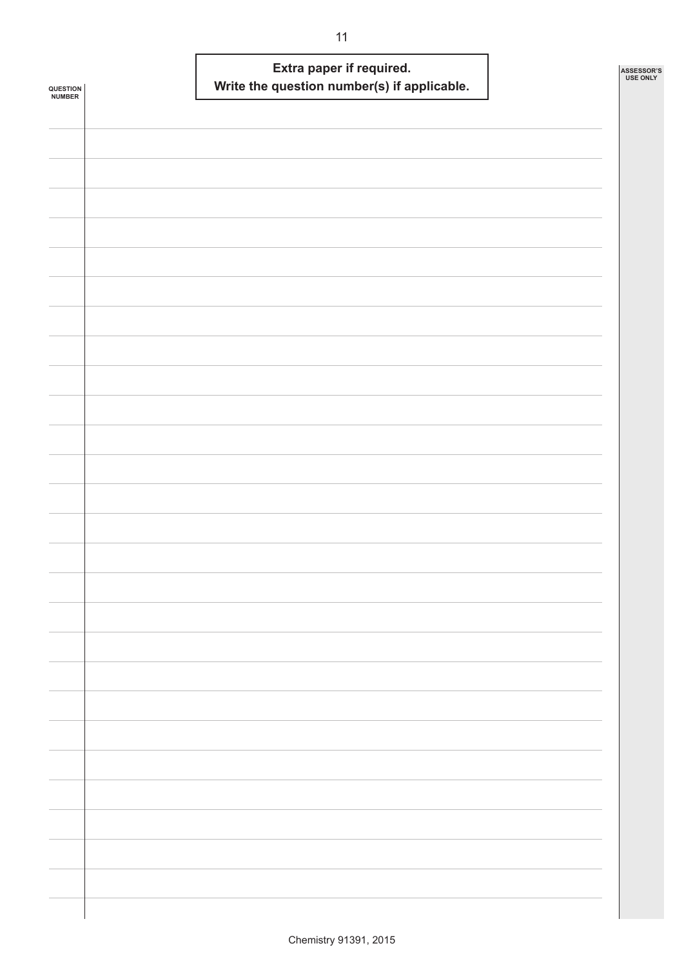| <b>QUESTION<br/>NUMBER</b> |  | Extra paper if required. | Write the question number(s) if applicable. |  | ASSESSOR'S<br><b>USE ONLY</b> |
|----------------------------|--|--------------------------|---------------------------------------------|--|-------------------------------|
|                            |  |                          |                                             |  |                               |
|                            |  |                          |                                             |  |                               |
|                            |  |                          |                                             |  |                               |
|                            |  |                          |                                             |  |                               |
|                            |  |                          |                                             |  |                               |
|                            |  |                          |                                             |  |                               |
|                            |  |                          |                                             |  |                               |
|                            |  |                          |                                             |  |                               |
|                            |  |                          |                                             |  |                               |
|                            |  |                          |                                             |  |                               |
|                            |  |                          |                                             |  |                               |
|                            |  |                          |                                             |  |                               |
|                            |  |                          |                                             |  |                               |
|                            |  |                          |                                             |  |                               |
|                            |  |                          |                                             |  |                               |
|                            |  |                          |                                             |  |                               |
|                            |  |                          |                                             |  |                               |
|                            |  |                          |                                             |  |                               |
|                            |  |                          |                                             |  |                               |
|                            |  |                          |                                             |  |                               |
|                            |  |                          |                                             |  |                               |
|                            |  |                          |                                             |  |                               |
|                            |  |                          |                                             |  |                               |
|                            |  |                          |                                             |  |                               |
|                            |  |                          |                                             |  |                               |
|                            |  |                          |                                             |  |                               |